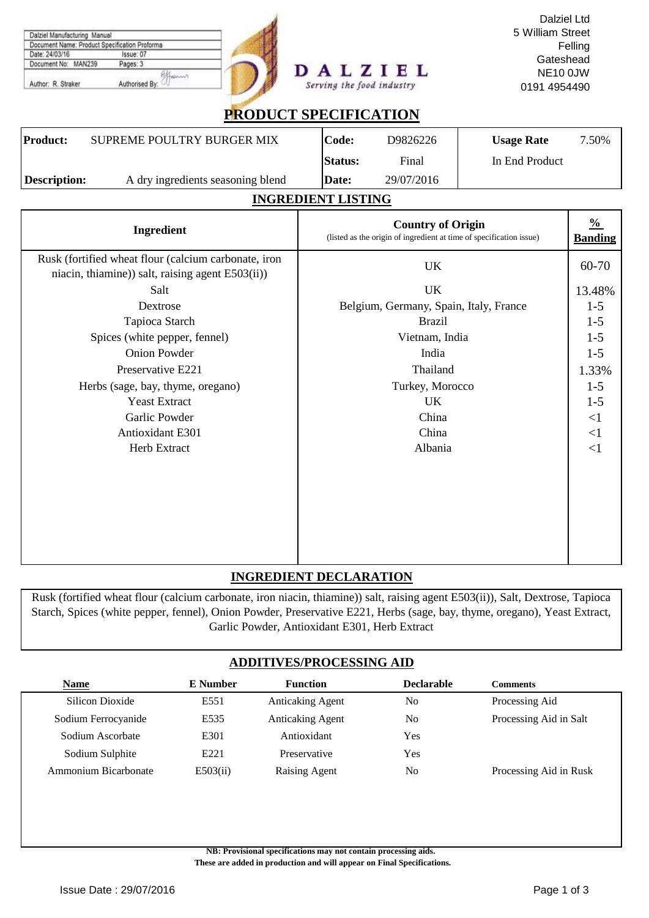| Document Name: Product Specification Proforma<br>Issue: 07<br>Date: 24/03/16<br>Document No: MAN239<br>Pages: 3<br>Hamm<br>Authorised By:<br>Author: R. Straker |                           |                                        | ALZIEL<br>Serving the food industry                                                             | Gateshead<br><b>NE10 0JW</b><br>0191 4954490 | Felling                         |  |
|-----------------------------------------------------------------------------------------------------------------------------------------------------------------|---------------------------|----------------------------------------|-------------------------------------------------------------------------------------------------|----------------------------------------------|---------------------------------|--|
| <b>PRODUCT SPECIFICATION</b>                                                                                                                                    |                           |                                        |                                                                                                 |                                              |                                 |  |
| <b>Product:</b><br>SUPREME POULTRY BURGER MIX                                                                                                                   |                           | Code:                                  | D9826226                                                                                        | <b>Usage Rate</b>                            | 7.50%                           |  |
|                                                                                                                                                                 |                           | <b>Status:</b>                         | Final                                                                                           | In End Product                               |                                 |  |
| <b>Description:</b><br>A dry ingredients seasoning blend                                                                                                        | Date:                     |                                        | 29/07/2016                                                                                      |                                              |                                 |  |
|                                                                                                                                                                 | <b>INGREDIENT LISTING</b> |                                        |                                                                                                 |                                              |                                 |  |
| Ingredient                                                                                                                                                      |                           |                                        | <b>Country of Origin</b><br>(listed as the origin of ingredient at time of specification issue) |                                              | $\frac{0}{0}$<br><b>Banding</b> |  |
| Rusk (fortified wheat flour (calcium carbonate, iron<br>niacin, thiamine)) salt, raising agent E503(ii))                                                        |                           |                                        | <b>UK</b>                                                                                       |                                              | 60-70                           |  |
| Salt                                                                                                                                                            |                           | <b>UK</b>                              |                                                                                                 |                                              |                                 |  |
| Dextrose                                                                                                                                                        |                           | Belgium, Germany, Spain, Italy, France |                                                                                                 |                                              |                                 |  |
| Tapioca Starch                                                                                                                                                  |                           | <b>Brazil</b>                          |                                                                                                 |                                              |                                 |  |
| Spices (white pepper, fennel)                                                                                                                                   |                           | Vietnam, India                         |                                                                                                 |                                              |                                 |  |
| <b>Onion Powder</b>                                                                                                                                             |                           | India                                  |                                                                                                 |                                              |                                 |  |
| Preservative E221                                                                                                                                               |                           | Thailand                               |                                                                                                 |                                              |                                 |  |
| Herbs (sage, bay, thyme, oregano)                                                                                                                               |                           | Turkey, Morocco                        |                                                                                                 |                                              |                                 |  |
| <b>Yeast Extract</b>                                                                                                                                            |                           |                                        | <b>UK</b>                                                                                       |                                              | $1 - 5$                         |  |
| <b>Garlic Powder</b>                                                                                                                                            |                           |                                        | China                                                                                           |                                              | $<\!\!1$                        |  |
| Antioxidant E301                                                                                                                                                |                           |                                        | China                                                                                           |                                              | $\leq$ 1                        |  |
| Herb Extract                                                                                                                                                    |                           |                                        | Albania                                                                                         |                                              | $\leq$ 1                        |  |
|                                                                                                                                                                 |                           |                                        |                                                                                                 |                                              |                                 |  |
|                                                                                                                                                                 |                           |                                        |                                                                                                 |                                              |                                 |  |
|                                                                                                                                                                 |                           |                                        |                                                                                                 |                                              |                                 |  |
|                                                                                                                                                                 |                           |                                        |                                                                                                 |                                              |                                 |  |
|                                                                                                                                                                 |                           |                                        |                                                                                                 |                                              |                                 |  |
|                                                                                                                                                                 |                           |                                        |                                                                                                 |                                              |                                 |  |

## **INGREDIENT DECLARATION**

Rusk (fortified wheat flour (calcium carbonate, iron niacin, thiamine)) salt, raising agent E503(ii)), Salt, Dextrose, Tapioca Starch, Spices (white pepper, fennel), Onion Powder, Preservative E221, Herbs (sage, bay, thyme, oregano), Yeast Extract, Garlic Powder, Antioxidant E301, Herb Extract

### **ADDITIVES/PROCESSING AID**

| <b>Name</b>          | <b>E</b> Number  | <b>Function</b>         | <b>Declarable</b> | Comments               |
|----------------------|------------------|-------------------------|-------------------|------------------------|
| Silicon Dioxide      | E551             | <b>Anticaking Agent</b> | No                | Processing Aid         |
| Sodium Ferrocyanide  | E535             | <b>Anticaking Agent</b> | No                | Processing Aid in Salt |
| Sodium Ascorbate     | E301             | Antioxidant             | Yes               |                        |
| Sodium Sulphite      | E <sub>221</sub> | Preservative            | Yes               |                        |
| Ammonium Bicarbonate | E503(ii)         | Raising Agent           | No                | Processing Aid in Rusk |

**NB: Provisional specifications may not contain processing aids.** 

 **These are added in production and will appear on Final Specifications.**

Dalziel Manufacturing Manual

Dalziel Ltd 5 William Street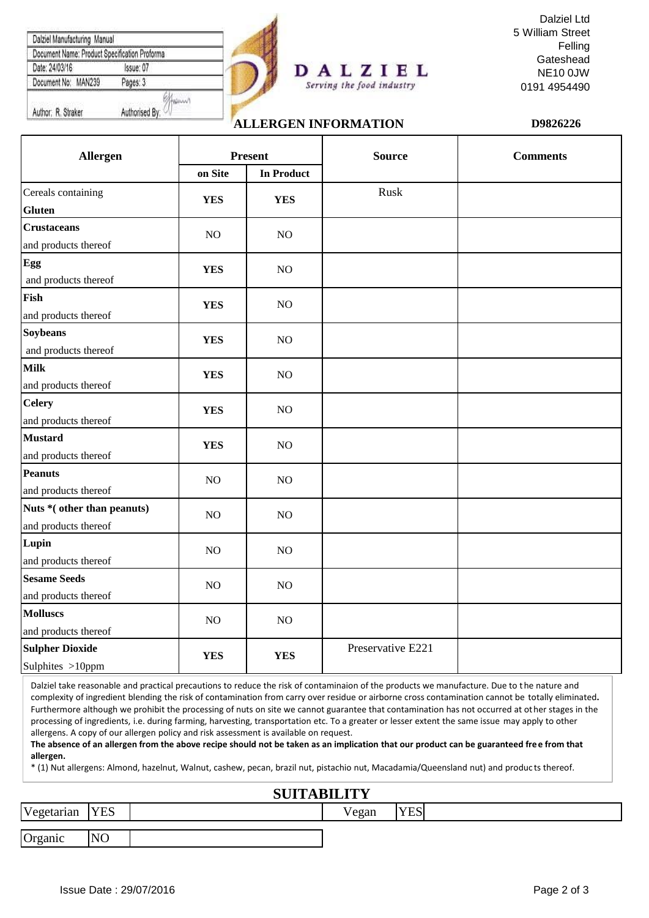| Document Name: Product Specification Proforma |                |  |
|-----------------------------------------------|----------------|--|
| Date: 24/03/16                                | Issue: 07      |  |
| Document No: MAN239                           | Pages: 3       |  |
|                                               |                |  |
| Author: R. Straker                            | Authorised By: |  |



#### Dalziel Ltd 5 William Street Felling Gateshead NE10 0JW 0191 4954490

# **ALLERGEN INFORMATION D9826226**

Serving the food industry

| Allergen                                           | <b>Present</b> |                   | <b>Source</b>     | <b>Comments</b> |  |
|----------------------------------------------------|----------------|-------------------|-------------------|-----------------|--|
|                                                    | on Site        | <b>In Product</b> |                   |                 |  |
| Cereals containing<br><b>Gluten</b>                | <b>YES</b>     | <b>YES</b>        | Rusk              |                 |  |
| <b>Crustaceans</b><br>and products thereof         | NO             | $\rm NO$          |                   |                 |  |
| Egg<br>and products thereof                        | <b>YES</b>     | $\rm NO$          |                   |                 |  |
| Fish<br>and products thereof                       | <b>YES</b>     | $\rm NO$          |                   |                 |  |
| <b>Soybeans</b><br>and products thereof            | <b>YES</b>     | $\rm NO$          |                   |                 |  |
| <b>Milk</b><br>and products thereof                | <b>YES</b>     | $\rm NO$          |                   |                 |  |
| <b>Celery</b><br>and products thereof              | <b>YES</b>     | $\rm NO$          |                   |                 |  |
| <b>Mustard</b><br>and products thereof             | <b>YES</b>     | $\rm NO$          |                   |                 |  |
| <b>Peanuts</b><br>and products thereof             | $\rm NO$       | $\rm NO$          |                   |                 |  |
| Nuts *(other than peanuts)<br>and products thereof | N <sub>O</sub> | NO                |                   |                 |  |
| Lupin<br>and products thereof                      | NO             | NO                |                   |                 |  |
| <b>Sesame Seeds</b><br>and products thereof        | NO             | $\rm NO$          |                   |                 |  |
| <b>Molluscs</b><br>and products thereof            | $NO$           | $\rm NO$          |                   |                 |  |
| <b>Sulpher Dioxide</b><br>Sulphites >10ppm         | <b>YES</b>     | <b>YES</b>        | Preservative E221 |                 |  |

Dalziel take reasonable and practical precautions to reduce the risk of contaminaion of the products we manufacture. Due to the nature and complexity of ingredient blending the risk of contamination from carry over residue or airborne cross contamination cannot be totally eliminated**.**  Furthermore although we prohibit the processing of nuts on site we cannot guarantee that contamination has not occurred at other stages in the processing of ingredients, i.e. during farming, harvesting, transportation etc. To a greater or lesser extent the same issue may apply to other allergens. A copy of our allergen policy and risk assessment is available on request.

**The absence of an allergen from the above recipe should not be taken as an implication that our product can be guaranteed free from that allergen.**

\* (1) Nut allergens: Almond, hazelnut, Walnut, cashew, pecan, brazil nut, pistachio nut, Macadamia/Queensland nut) and produc ts thereof.

### **SUITABILITY**

|            | ____________   |  |                       |                           |  |  |  |  |
|------------|----------------|--|-----------------------|---------------------------|--|--|--|--|
| Vegetarian | <b>YES</b>     |  | $\mathbf{v}$<br>/egan | $V\Gamma C$<br><b>ILD</b> |  |  |  |  |
|            | N <sub>O</sub> |  |                       |                           |  |  |  |  |
| Organic    |                |  |                       |                           |  |  |  |  |